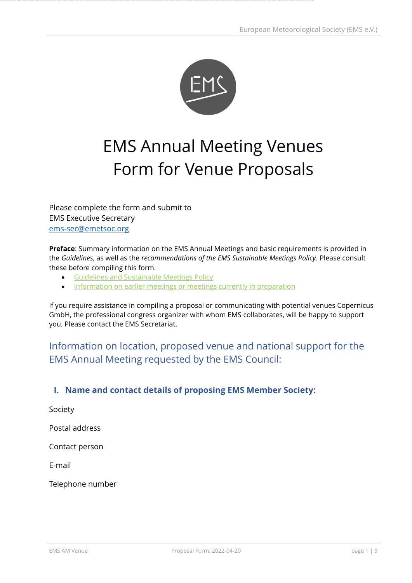

# EMS Annual Meeting Venues Form for Venue Proposals

Please complete the form and submit to EMS Executive Secretary [ems-sec@emetsoc.org](mailto:ems-sec@emetsoc.org)

**Preface**: Summary information on the EMS Annual Meetings and basic requirements is provided in the *Guidelines*, as well as the *recommendations of the EMS Sustainable Meetings Policy*. Please consult these before compiling this form.

- [Guidelines and Sustainable Meetings Policy](https://www.emetsoc.org/events/ems-annual-meetings/future-venues/ems-sustainable-meetings-policy/)
- [Information on earlier meetings or meetings currently in preparation](https://www.emetsoc.org/events/ems-annual-meetings/)

If you require assistance in compiling a proposal or communicating with potential venues Copernicus GmbH, the professional congress organizer with whom EMS collaborates, will be happy to support you. Please contact the EMS Secretariat.

# Information on location, proposed venue and national support for the EMS Annual Meeting requested by the EMS Council:

# **I. Name and contact details of proposing EMS Member Society:**

Society Postal address Contact person E-mail Telephone number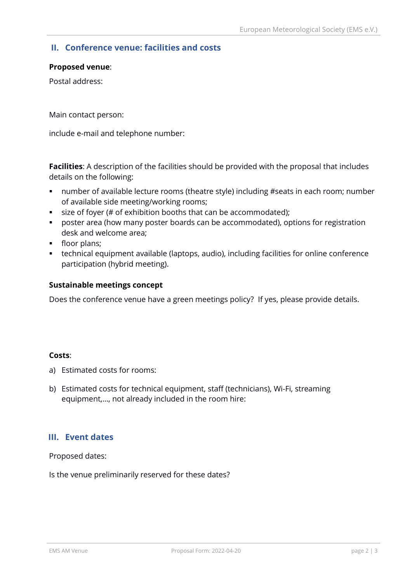# **II. Conference venue: facilities and costs**

#### **Proposed venue**:

Postal address:

Main contact person:

include e-mail and telephone number:

**Facilities**: A description of the facilities should be provided with the proposal that includes details on the following:

- number of available lecture rooms (theatre style) including #seats in each room; number of available side meeting/working rooms;
- size of foyer (# of exhibition booths that can be accommodated);
- poster area (how many poster boards can be accommodated), options for registration desk and welcome area;
- **·** floor plans;
- technical equipment available (laptops, audio), including facilities for online conference participation (hybrid meeting).

#### **Sustainable meetings concept**

Does the conference venue have a green meetings policy? If yes, please provide details.

#### **Costs**:

- a) Estimated costs for rooms:
- b) Estimated costs for technical equipment, staff (technicians), Wi-Fi, streaming equipment,…, not already included in the room hire:

### **III. Event dates**

Proposed dates:

Is the venue preliminarily reserved for these dates?